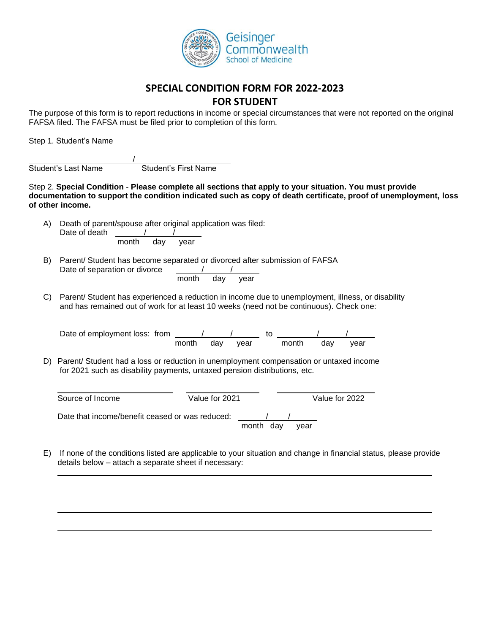

## **SPECIAL CONDITION FORM FOR 2022-2023**

## **FOR STUDENT**

The purpose of this form is to report reductions in income or special circumstances that were not reported on the original FAFSA filed. The FAFSA must be filed prior to completion of this form.

Step 1. Student's Name

 $\overline{\phantom{a}}$ Student's Last Name Student's First Name

Step 2. **Special Condition** - **Please complete all sections that apply to your situation. You must provide documentation to support the condition indicated such as copy of death certificate, proof of unemployment, loss of other income.**

- A) Death of parent/spouse after original application was filed: Date of death  $\frac{1}{\sqrt{1-\frac{1}{2}}\sqrt{1-\frac{1}{2}}\sqrt{1-\frac{1}{2}}\sqrt{1-\frac{1}{2}}$ month day year
- B) Parent/ Student has become separated or divorced after submission of FAFSA Date of separation or divorce month day year
- C) Parent/ Student has experienced a reduction in income due to unemployment, illness, or disability and has remained out of work for at least 10 weeks (need not be continuous). Check one:

| Date of employment loss: from |       |     |      |       |     |      |
|-------------------------------|-------|-----|------|-------|-----|------|
|                               | month | dav | vear | month | dav | vear |

D) Parent/ Student had a loss or reduction in unemployment compensation or untaxed income for 2021 such as disability payments, untaxed pension distributions, etc.

| Source of Income                                | Value for 2021 |           |      | Value for 2022 |
|-------------------------------------------------|----------------|-----------|------|----------------|
| Date that income/benefit ceased or was reduced: |                | month dav | vear |                |

E) If none of the conditions listed are applicable to your situation and change in financial status, please provide details below – attach a separate sheet if necessary: